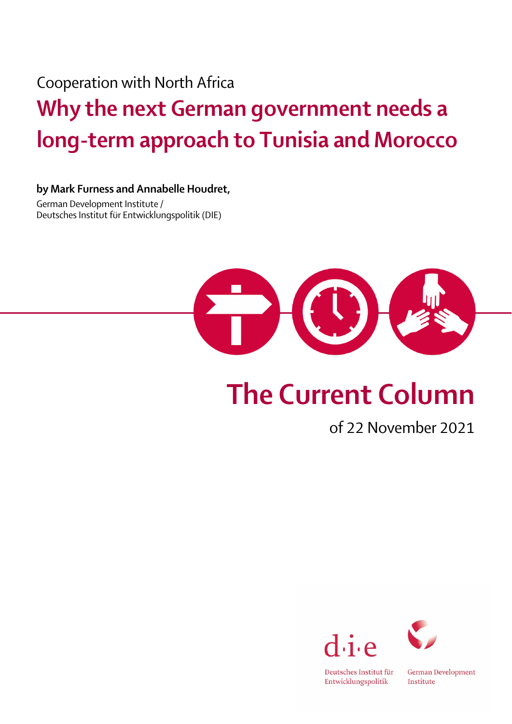Cooperation with North Africa

## Why the next German government needs a long-term approach to Tunisia and Morocco

## by Mark Furness and Annabelle Houdret,

German Development Institute / Deutsches Institut für Entwicklungspolitik (DIE)



## The Current Column

of 22 November 2021





Deutsches Institut für Entwicklungspolitik

German Development Institute